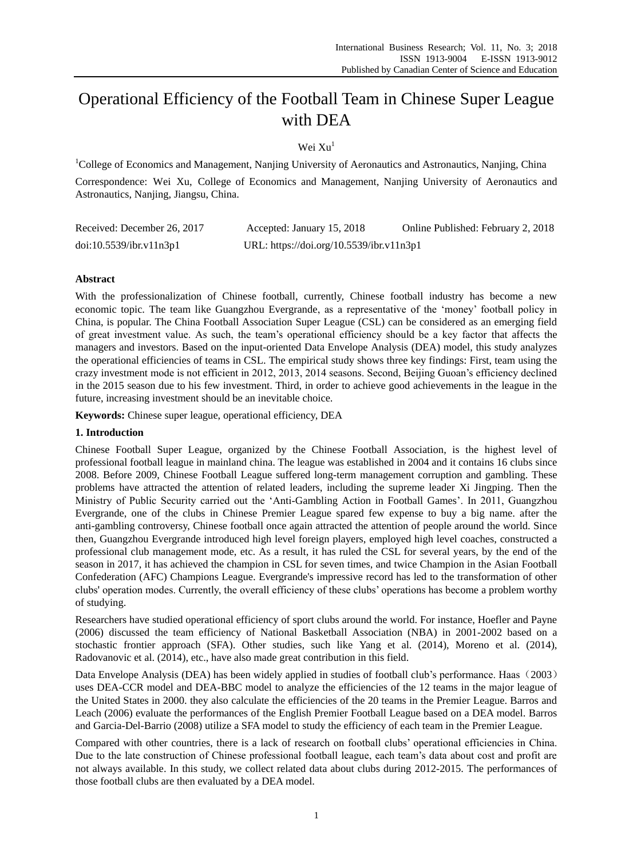# Operational Efficiency of the Football Team in Chinese Super League with DEA

Wei  $Xu<sup>1</sup>$ 

<sup>1</sup>College of Economics and Management, Nanjing University of Aeronautics and Astronautics, Nanjing, China Correspondence: Wei Xu, College of Economics and Management, Nanjing University of Aeronautics and Astronautics, Nanjing, Jiangsu, China.

| Received: December 26, 2017 | Accepted: January 15, 2018               | Online Published: February 2, 2018 |
|-----------------------------|------------------------------------------|------------------------------------|
| doi:10.5539/ibr.v11n3p1     | URL: https://doi.org/10.5539/ibr.v11n3p1 |                                    |

## **Abstract**

With the professionalization of Chinese football, currently, Chinese football industry has become a new economic topic. The team like Guangzhou Evergrande, as a representative of the 'money' football policy in China, is popular. The China Football Association Super League (CSL) can be considered as an emerging field of great investment value. As such, the team's operational efficiency should be a key factor that affects the managers and investors. Based on the input-oriented Data Envelope Analysis (DEA) model, this study analyzes the operational efficiencies of teams in CSL. The empirical study shows three key findings: First, team using the crazy investment mode is not efficient in 2012, 2013, 2014 seasons. Second, Beijing Guoan's efficiency declined in the 2015 season due to his few investment. Third, in order to achieve good achievements in the league in the future, increasing investment should be an inevitable choice.

**Keywords:** Chinese super league, operational efficiency, DEA

## **1. Introduction**

Chinese Football Super League, organized by the Chinese Football Association, is the highest level of professional football league in mainland china. The league was established in 2004 and it contains 16 clubs since 2008. Before 2009, Chinese Football League suffered long-term management corruption and gambling. These problems have attracted the attention of related leaders, including the supreme leader Xi Jingping. Then the Ministry of Public Security carried out the 'Anti-Gambling Action in Football Games'. In 2011, Guangzhou Evergrande, one of the clubs in Chinese Premier League spared few expense to buy a big name. after the anti-gambling controversy, Chinese football once again attracted the attention of people around the world. Since then, Guangzhou Evergrande introduced high level foreign players, employed high level coaches, constructed a professional club management mode, etc. As a result, it has ruled the CSL for several years, by the end of the season in 2017, it has achieved the champion in CSL for seven times, and twice Champion in the Asian Football Confederation (AFC) Champions League. Evergrande's impressive record has led to the transformation of other clubs' operation modes. Currently, the overall efficiency of these clubs' operations has become a problem worthy of studying.

Researchers have studied operational efficiency of sport clubs around the world. For instance, Hoefler and Payne (2006) discussed the team efficiency of National Basketball Association (NBA) in 2001-2002 based on a stochastic frontier approach (SFA). Other studies, such like Yang et al. (2014), Moreno et al. (2014), Radovanovic et al. (2014), etc., have also made great contribution in this field.

Data Envelope Analysis (DEA) has been widely applied in studies of football club's performance. Haas (2003) uses DEA-CCR model and DEA-BBC model to analyze the efficiencies of the 12 teams in the major league of the United States in 2000. they also calculate the efficiencies of the 20 teams in the Premier League. Barros and Leach (2006) evaluate the performances of the English Premier Football League based on a DEA model. Barros and Garcia-Del-Barrio (2008) utilize a SFA model to study the efficiency of each team in the Premier League.

Compared with other countries, there is a lack of research on football clubs' operational efficiencies in China. Due to the late construction of Chinese professional football league, each team's data about cost and profit are not always available. In this study, we collect related data about clubs during 2012-2015. The performances of those football clubs are then evaluated by a DEA model.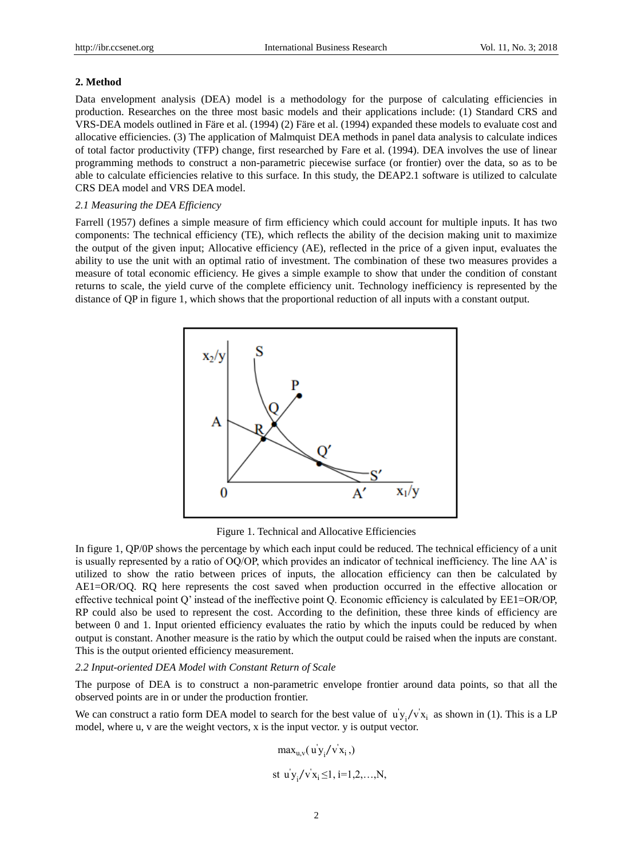#### **2. Method**

Data envelopment analysis (DEA) model is a methodology for the purpose of calculating efficiencies in production. Researches on the three most basic models and their applications include: (1) Standard CRS and VRS-DEA models outlined in Färe et al. (1994) (2) Färe et al. (1994) expanded these models to evaluate cost and allocative efficiencies. (3) The application of Malmquist DEA methods in panel data analysis to calculate indices of total factor productivity (TFP) change, first researched by Fare et al. (1994). DEA involves the use of linear programming methods to construct a non-parametric piecewise surface (or frontier) over the data, so as to be able to calculate efficiencies relative to this surface. In this study, the DEAP2.1 software is utilized to calculate CRS DEA model and VRS DEA model.

#### *2.1 Measuring the DEA Efficiency*

Farrell (1957) defines a simple measure of firm efficiency which could account for multiple inputs. It has two components: The technical efficiency (TE), which reflects the ability of the decision making unit to maximize the output of the given input; Allocative efficiency (AE), reflected in the price of a given input, evaluates the ability to use the unit with an optimal ratio of investment. The combination of these two measures provides a measure of total economic efficiency. He gives a simple example to show that under the condition of constant returns to scale, the yield curve of the complete efficiency unit. Technology inefficiency is represented by the distance of QP in figure 1, which shows that the proportional reduction of all inputs with a constant output.



Figure 1. Technical and Allocative Efficiencies

In figure 1, QP/0P shows the percentage by which each input could be reduced. The technical efficiency of a unit is usually represented by a ratio of OQ/OP, which provides an indicator of technical inefficiency. The line AA' is utilized to show the ratio between prices of inputs, the allocation efficiency can then be calculated by AE1=OR/OQ. RQ here represents the cost saved when production occurred in the effective allocation or effective technical point Q' instead of the ineffective point Q. Economic efficiency is calculated by EE1=OR/OP, RP could also be used to represent the cost. According to the definition, these three kinds of efficiency are between 0 and 1. Input oriented efficiency evaluates the ratio by which the inputs could be reduced by when output is constant. Another measure is the ratio by which the output could be raised when the inputs are constant. This is the output oriented efficiency measurement.

#### *2.2 Input-oriented DEA Model with Constant Return of Scale*

The purpose of DEA is to construct a non-parametric envelope frontier around data points, so that all the observed points are in or under the production frontier.

We can construct a ratio form DEA model to search for the best value of  $u'y_i/v'x_i$  as shown in (1). This is a LP model, where u, v are the weight vectors, x is the input vector. y is output vector.

$$
\max_{u,v} (u'y_i/v'x_i,)
$$
  
st  $u'y_i/v'x_i \le 1, i=1,2,...,N,$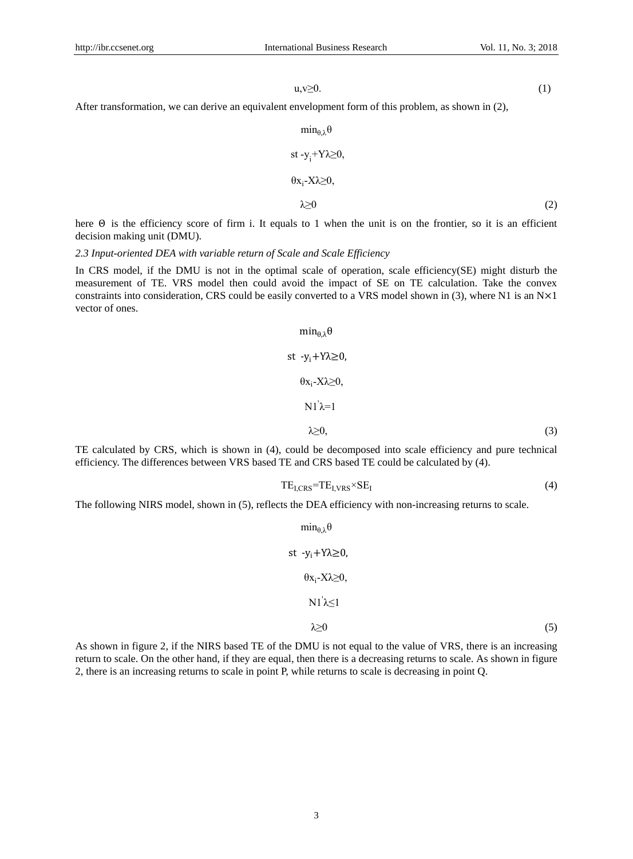$u, v \ge 0.$  (1)

After transformation, we can derive an equivalent envelopment form of this problem, as shown in (2),

$$
\min_{\theta, \lambda} \theta
$$
\n
$$
\text{st} - y_{i} + Y\lambda \ge 0,
$$
\n
$$
\theta x_{i} - X\lambda \ge 0,
$$
\n
$$
\lambda \ge 0
$$
\n(2)

here Θ is the efficiency score of firm i. It equals to 1 when the unit is on the frontier, so it is an efficient decision making unit (DMU).

#### *2.3 Input-oriented DEA with variable return of Scale and Scale Efficiency*

In CRS model, if the DMU is not in the optimal scale of operation, scale efficiency(SE) might disturb the measurement of TE. VRS model then could avoid the impact of SE on TE calculation. Take the convex constraints into consideration, CRS could be easily converted to a VRS model shown in (3), where N1 is an N×1 vector of ones.

$$
\min_{\theta, \lambda} \theta
$$
\n
$$
st - y_{i} + Y\lambda \ge 0,
$$
\n
$$
\theta x_{i} - X\lambda \ge 0,
$$
\n
$$
N1 \lambda = 1
$$
\n
$$
\lambda \ge 0,
$$
\n(3)

TE calculated by CRS, which is shown in (4), could be decomposed into scale efficiency and pure technical efficiency. The differences between VRS based TE and CRS based TE could be calculated by (4).

$$
TE_{I,CRS} = TE_{I,VRS} \times SE_I
$$
 (4)

The following NIRS model, shown in (5), reflects the DEA efficiency with non-increasing returns to scale.

$$
\min_{\theta, \lambda} \theta
$$
\n
$$
st - y_{i} + Y\lambda \ge 0,
$$
\n
$$
\theta x_{i} - X\lambda \ge 0,
$$
\n
$$
N1' \lambda \le 1
$$
\n
$$
\lambda \ge 0
$$
\n(5)

As shown in figure 2, if the NIRS based TE of the DMU is not equal to the value of VRS, there is an increasing return to scale. On the other hand, if they are equal, then there is a decreasing returns to scale. As shown in figure 2, there is an increasing returns to scale in point P, while returns to scale is decreasing in point Q.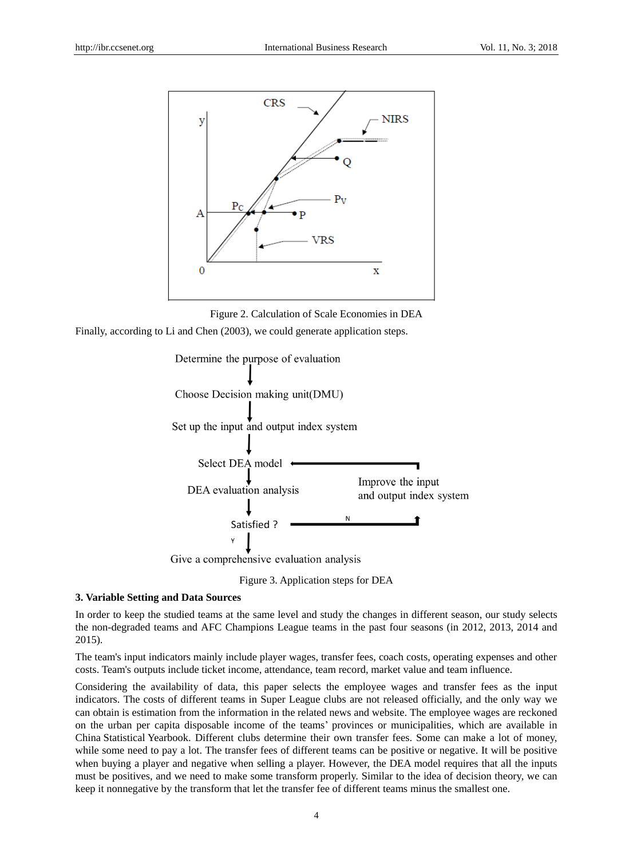

Figure 2. Calculation of Scale Economies in DEA

Finally, according to Li and Chen (2003), we could generate application steps.





#### **3. Variable Setting and Data Sources**

In order to keep the studied teams at the same level and study the changes in different season, our study selects the non-degraded teams and AFC Champions League teams in the past four seasons (in 2012, 2013, 2014 and 2015).

The team's input indicators mainly include player wages, transfer fees, coach costs, operating expenses and other costs. Team's outputs include ticket income, attendance, team record, market value and team influence.

Considering the availability of data, this paper selects the employee wages and transfer fees as the input indicators. The costs of different teams in Super League clubs are not released officially, and the only way we can obtain is estimation from the information in the related news and website. The employee wages are reckoned on the urban per capita disposable income of the teams' provinces or municipalities, which are available in China Statistical Yearbook. Different clubs determine their own transfer fees. Some can make a lot of money, while some need to pay a lot. The transfer fees of different teams can be positive or negative. It will be positive when buying a player and negative when selling a player. However, the DEA model requires that all the inputs must be positives, and we need to make some transform properly. Similar to the idea of decision theory, we can keep it nonnegative by the transform that let the transfer fee of different teams minus the smallest one.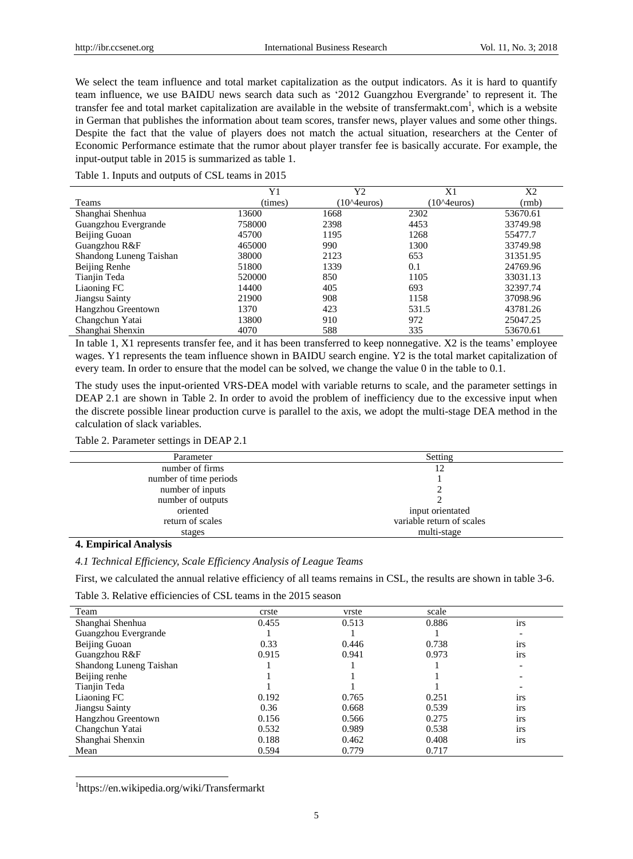We select the team influence and total market capitalization as the output indicators. As it is hard to quantify team influence, we use BAIDU news search data such as '2012 Guangzhou Evergrande' to represent it. The transfer fee and total market capitalization are available in the website of transfermakt.com<sup>1</sup>, which is a website in German that publishes the information about team scores, transfer news, player values and some other things. Despite the fact that the value of players does not match the actual situation, researchers at the Center of Economic Performance estimate that the rumor about player transfer fee is basically accurate. For example, the input-output table in 2015 is summarized as table 1.

Table 1. Inputs and outputs of CSL teams in 2015

|                         | Y1      | Y2                   | X <sub>1</sub>       | X <sub>2</sub> |
|-------------------------|---------|----------------------|----------------------|----------------|
| Teams                   | (times) | $(10^{\circ}4euros)$ | $(10^{\circ}4euros)$ | (rmb)          |
| Shanghai Shenhua        | 13600   | 1668                 | 2302                 | 53670.61       |
| Guangzhou Evergrande    | 758000  | 2398                 | 4453                 | 33749.98       |
| Beijing Guoan           | 45700   | 1195                 | 1268                 | 55477.7        |
| Guangzhou R&F           | 465000  | 990                  | 1300                 | 33749.98       |
| Shandong Luneng Taishan | 38000   | 2123                 | 653                  | 31351.95       |
| Beijing Renhe           | 51800   | 1339                 | 0.1                  | 24769.96       |
| Tianjin Teda            | 520000  | 850                  | 1105                 | 33031.13       |
| Liaoning FC             | 14400   | 405                  | 693                  | 32397.74       |
| Jiangsu Sainty          | 21900   | 908                  | 1158                 | 37098.96       |
| Hangzhou Greentown      | 1370    | 423                  | 531.5                | 43781.26       |
| Changchun Yatai         | 13800   | 910                  | 972                  | 25047.25       |
| Shanghai Shenxin        | 4070    | 588                  | 335                  | 53670.61       |

In table 1, X1 represents transfer fee, and it has been transferred to keep nonnegative. X2 is the teams' employee wages. Y1 represents the team influence shown in BAIDU search engine. Y2 is the total market capitalization of every team. In order to ensure that the model can be solved, we change the value 0 in the table to 0.1.

The study uses the input-oriented VRS-DEA model with variable returns to scale, and the parameter settings in DEAP 2.1 are shown in Table 2. In order to avoid the problem of inefficiency due to the excessive input when the discrete possible linear production curve is parallel to the axis, we adopt the multi-stage DEA method in the calculation of slack variables.

#### Table 2. Parameter settings in DEAP 2.1

| Parameter              | Setting                   |
|------------------------|---------------------------|
| number of firms        | 12                        |
| number of time periods |                           |
| number of inputs       |                           |
| number of outputs      |                           |
| oriented               | input orientated          |
| return of scales       | variable return of scales |
| stages                 | multi-stage               |
|                        |                           |

## **4. Empirical Analysis**

-

*4.1 Technical Efficiency, Scale Efficiency Analysis of League Teams*

First, we calculated the annual relative efficiency of all teams remains in CSL, the results are shown in table 3-6.

| Team                    | crste | vrste | scale |                          |
|-------------------------|-------|-------|-------|--------------------------|
| Shanghai Shenhua        | 0.455 | 0.513 | 0.886 | irs                      |
| Guangzhou Evergrande    |       |       |       | $\overline{\phantom{a}}$ |
| Beijing Guoan           | 0.33  | 0.446 | 0.738 | $\bullet$<br><i>irs</i>  |
| Guangzhou R&F           | 0.915 | 0.941 | 0.973 | irs                      |
| Shandong Luneng Taishan |       |       |       | $\overline{\phantom{0}}$ |
| Beijing renhe           |       |       |       |                          |
| Tianjin Teda            |       |       |       |                          |
| Liaoning FC             | 0.192 | 0.765 | 0.251 | irs                      |
| Jiangsu Sainty          | 0.36  | 0.668 | 0.539 | $\cdot$<br><i>irs</i>    |
| Hangzhou Greentown      | 0.156 | 0.566 | 0.275 | 1rs                      |
| Changchun Yatai         | 0.532 | 0.989 | 0.538 | 1rs                      |
| Shanghai Shenxin        | 0.188 | 0.462 | 0.408 | irs                      |
| Mean                    | 0.594 | 0.779 | 0.717 |                          |

1 https://en.wikipedia.org/wiki/Transfermarkt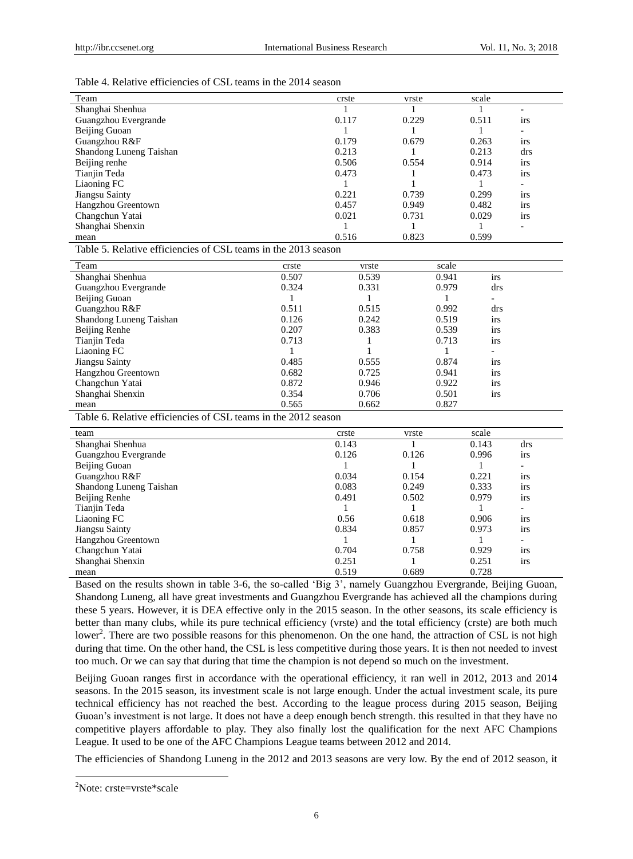#### Table 4. Relative efficiencies of CSL teams in the 2014 season

| Team                                                           | crste | vrste | scale |                          |  |
|----------------------------------------------------------------|-------|-------|-------|--------------------------|--|
| Shanghai Shenhua                                               |       |       |       |                          |  |
| Guangzhou Evergrande                                           | 0.117 | 0.229 | 0.511 | 1rs                      |  |
| Beijing Guoan                                                  |       |       |       |                          |  |
| Guangzhou R&F                                                  | 0.179 | 0.679 | 0.263 | irs                      |  |
| Shandong Luneng Taishan                                        | 0.213 |       | 0.213 | drs                      |  |
| Beijing renhe                                                  | 0.506 | 0.554 | 0.914 | 1rs                      |  |
| Tianjin Teda                                                   | 0.473 |       | 0.473 | irs                      |  |
| Liaoning FC                                                    |       |       |       |                          |  |
| Jiangsu Sainty                                                 | 0.221 | 0.739 | 0.299 | 1rs                      |  |
| Hangzhou Greentown                                             | 0.457 | 0.949 | 0.482 | <i>irs</i>               |  |
| Changchun Yatai                                                | 0.021 | 0.731 | 0.029 | <i>irs</i>               |  |
| Shanghai Shenxin                                               |       |       |       | $\overline{\phantom{0}}$ |  |
| mean                                                           | 0.516 | 0.823 | 0.599 |                          |  |
| Table 5. Relative efficiencies of CSI teams in the 2013 season |       |       |       |                          |  |

Table 5. Relative efficiencies of CSL teams in the 2013 season

| Team                    | crste | vrste | scale |                          |
|-------------------------|-------|-------|-------|--------------------------|
| Shanghai Shenhua        | 0.507 | 0.539 | 0.941 | irs                      |
| Guangzhou Evergrande    | 0.324 | 0.331 | 0.979 | drs                      |
| Beijing Guoan           |       |       |       | -                        |
| Guangzhou R&F           | 0.511 | 0.515 | 0.992 | drs                      |
| Shandong Luneng Taishan | 0.126 | 0.242 | 0.519 | irs                      |
| Beijing Renhe           | 0.207 | 0.383 | 0.539 | irs                      |
| Tianjin Teda            | 0.713 |       | 0.713 | irs                      |
| Liaoning FC             |       |       |       | $\overline{\phantom{0}}$ |
| Jiangsu Sainty          | 0.485 | 0.555 | 0.874 | irs                      |
| Hangzhou Greentown      | 0.682 | 0.725 | 0.941 | <i>irs</i>               |
| Changchun Yatai         | 0.872 | 0.946 | 0.922 | <i>irs</i>               |
| Shanghai Shenxin        | 0.354 | 0.706 | 0.501 | irs                      |
| mean                    | 0.565 | 0.662 | 0.827 |                          |

Table 6. Relative efficiencies of CSL teams in the 2012 season

| team                    | crste | vrste | scale |                          |
|-------------------------|-------|-------|-------|--------------------------|
| Shanghai Shenhua        | 0.143 |       | 0.143 | drs                      |
| Guangzhou Evergrande    | 0.126 | 0.126 | 0.996 | <i>irs</i>               |
| Beijing Guoan           |       |       |       | $\overline{\phantom{a}}$ |
| Guangzhou R&F           | 0.034 | 0.154 | 0.221 | irs                      |
| Shandong Luneng Taishan | 0.083 | 0.249 | 0.333 | 1rs                      |
| Beijing Renhe           | 0.491 | 0.502 | 0.979 | <i>irs</i>               |
| Tianjin Teda            |       |       |       | $\overline{\phantom{a}}$ |
| Liaoning FC             | 0.56  | 0.618 | 0.906 | 1rs                      |
| Jiangsu Sainty          | 0.834 | 0.857 | 0.973 | <i>irs</i>               |
| Hangzhou Greentown      |       |       |       | $\overline{\phantom{0}}$ |
| Changchun Yatai         | 0.704 | 0.758 | 0.929 | 1rs                      |
| Shanghai Shenxin        | 0.251 |       | 0.251 | <i>irs</i>               |
| mean                    | 0.519 | 0.689 | 0.728 |                          |

Based on the results shown in table 3-6, the so-called 'Big 3', namely Guangzhou Evergrande, Beijing Guoan, Shandong Luneng, all have great investments and Guangzhou Evergrande has achieved all the champions during these 5 years. However, it is DEA effective only in the 2015 season. In the other seasons, its scale efficiency is better than many clubs, while its pure technical efficiency (vrste) and the total efficiency (crste) are both much lower<sup>2</sup>. There are two possible reasons for this phenomenon. On the one hand, the attraction of CSL is not high during that time. On the other hand, the CSL is less competitive during those years. It is then not needed to invest too much. Or we can say that during that time the champion is not depend so much on the investment.

Beijing Guoan ranges first in accordance with the operational efficiency, it ran well in 2012, 2013 and 2014 seasons. In the 2015 season, its investment scale is not large enough. Under the actual investment scale, its pure technical efficiency has not reached the best. According to the league process during 2015 season, Beijing Guoan's investment is not large. It does not have a deep enough bench strength. this resulted in that they have no competitive players affordable to play. They also finally lost the qualification for the next AFC Champions League. It used to be one of the AFC Champions League teams between 2012 and 2014.

The efficiencies of Shandong Luneng in the 2012 and 2013 seasons are very low. By the end of 2012 season, it

-

<sup>2</sup>Note: crste=vrste\*scale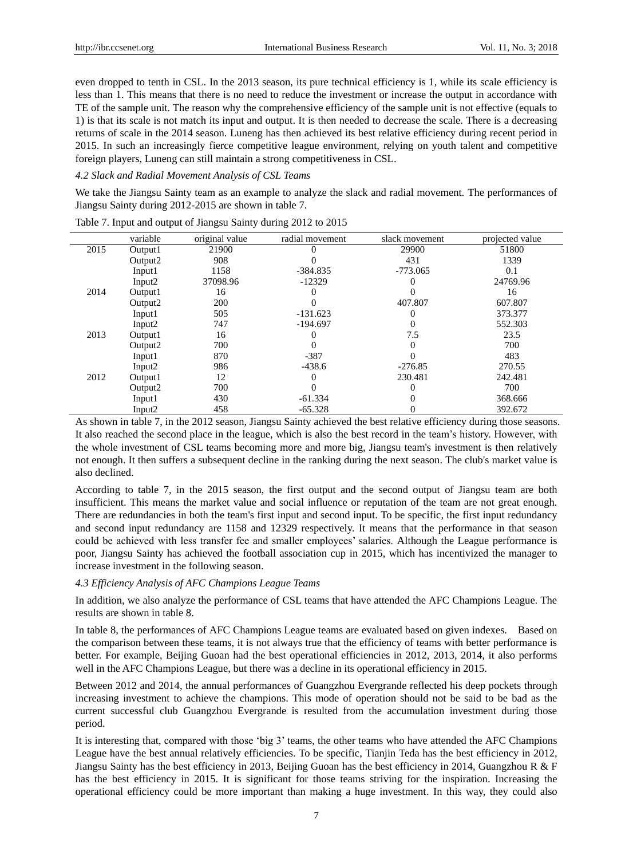even dropped to tenth in CSL. In the 2013 season, its pure technical efficiency is 1, while its scale efficiency is less than 1. This means that there is no need to reduce the investment or increase the output in accordance with TE of the sample unit. The reason why the comprehensive efficiency of the sample unit is not effective (equals to 1) is that its scale is not match its input and output. It is then needed to decrease the scale. There is a decreasing returns of scale in the 2014 season. Luneng has then achieved its best relative efficiency during recent period in 2015. In such an increasingly fierce competitive league environment, relying on youth talent and competitive foreign players, Luneng can still maintain a strong competitiveness in CSL.

#### *4.2 Slack and Radial Movement Analysis of CSL Teams*

We take the Jiangsu Sainty team as an example to analyze the slack and radial movement. The performances of Jiangsu Sainty during 2012-2015 are shown in table 7.

|      | variable            | original value | radial movement | slack movement | projected value |
|------|---------------------|----------------|-----------------|----------------|-----------------|
| 2015 | Output1             | 21900          |                 | 29900          | 51800           |
|      | Output <sub>2</sub> | 908            |                 | 431            | 1339            |
|      | Input1              | 1158           | $-384.835$      | $-773.065$     | 0.1             |
|      | Input2              | 37098.96       | $-12329$        |                | 24769.96        |
| 2014 | Output1             | 16             |                 |                | 16              |
|      | Output <sub>2</sub> | 200            |                 | 407.807        | 607.807         |
|      | Input1              | 505            | $-131.623$      |                | 373.377         |
|      | Input <sub>2</sub>  | 747            | $-194.697$      |                | 552.303         |
| 2013 | Output1             | 16             |                 | 7.5            | 23.5            |
|      | Output <sub>2</sub> | 700            |                 | 0              | 700             |
|      | Input1              | 870            | $-387$          |                | 483             |
|      | Input2              | 986            | $-438.6$        | $-276.85$      | 270.55          |
| 2012 | Output1             | 12             |                 | 230.481        | 242.481         |
|      | Output <sub>2</sub> | 700            |                 |                | 700             |
|      | Input1              | 430            | $-61.334$       |                | 368.666         |
|      | Input <sub>2</sub>  | 458            | $-65.328$       | 0              | 392.672         |

Table 7. Input and output of Jiangsu Sainty during 2012 to 2015

As shown in table 7, in the 2012 season, Jiangsu Sainty achieved the best relative efficiency during those seasons. It also reached the second place in the league, which is also the best record in the team's history. However, with the whole investment of CSL teams becoming more and more big, Jiangsu team's investment is then relatively not enough. It then suffers a subsequent decline in the ranking during the next season. The club's market value is also declined.

According to table 7, in the 2015 season, the first output and the second output of Jiangsu team are both insufficient. This means the market value and social influence or reputation of the team are not great enough. There are redundancies in both the team's first input and second input. To be specific, the first input redundancy and second input redundancy are 1158 and 12329 respectively. It means that the performance in that season could be achieved with less transfer fee and smaller employees' salaries. Although the League performance is poor, Jiangsu Sainty has achieved the football association cup in 2015, which has incentivized the manager to increase investment in the following season.

#### *4.3 Efficiency Analysis of AFC Champions League Teams*

In addition, we also analyze the performance of CSL teams that have attended the AFC Champions League. The results are shown in table 8.

In table 8, the performances of AFC Champions League teams are evaluated based on given indexes. Based on the comparison between these teams, it is not always true that the efficiency of teams with better performance is better. For example, Beijing Guoan had the best operational efficiencies in 2012, 2013, 2014, it also performs well in the AFC Champions League, but there was a decline in its operational efficiency in 2015.

Between 2012 and 2014, the annual performances of Guangzhou Evergrande reflected his deep pockets through increasing investment to achieve the champions. This mode of operation should not be said to be bad as the current successful club Guangzhou Evergrande is resulted from the accumulation investment during those period.

It is interesting that, compared with those 'big 3' teams, the other teams who have attended the AFC Champions League have the best annual relatively efficiencies. To be specific, Tianjin Teda has the best efficiency in 2012, Jiangsu Sainty has the best efficiency in 2013, Beijing Guoan has the best efficiency in 2014, Guangzhou R & F has the best efficiency in 2015. It is significant for those teams striving for the inspiration. Increasing the operational efficiency could be more important than making a huge investment. In this way, they could also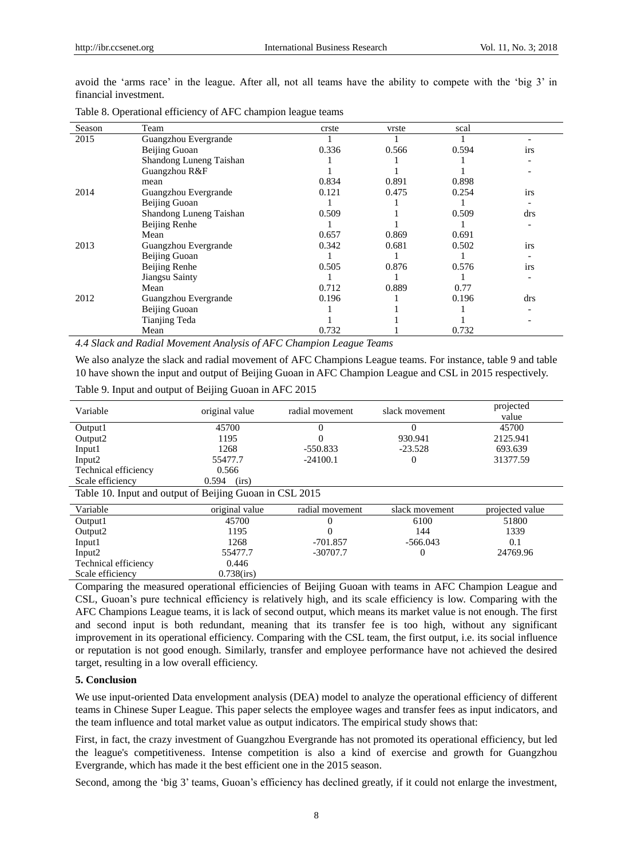avoid the 'arms race' in the league. After all, not all teams have the ability to compete with the 'big 3' in financial investment.

| Season | Team                    | crste | vrste | scal  |            |
|--------|-------------------------|-------|-------|-------|------------|
| 2015   | Guangzhou Evergrande    |       |       |       |            |
|        | Beijing Guoan           | 0.336 | 0.566 | 0.594 | <i>irs</i> |
|        | Shandong Luneng Taishan |       |       |       |            |
|        | Guangzhou R&F           |       |       |       |            |
|        | mean                    | 0.834 | 0.891 | 0.898 |            |
| 2014   | Guangzhou Evergrande    | 0.121 | 0.475 | 0.254 | irs        |
|        | Beijing Guoan           |       |       |       |            |
|        | Shandong Luneng Taishan | 0.509 |       | 0.509 | drs        |
|        | Beijing Renhe           |       |       |       |            |
|        | Mean                    | 0.657 | 0.869 | 0.691 |            |
| 2013   | Guangzhou Evergrande    | 0.342 | 0.681 | 0.502 | irs        |
|        | Beijing Guoan           |       |       |       |            |
|        | Beijing Renhe           | 0.505 | 0.876 | 0.576 | <i>irs</i> |
|        | Jiangsu Sainty          |       |       |       |            |
|        | Mean                    | 0.712 | 0.889 | 0.77  |            |
| 2012   | Guangzhou Evergrande    | 0.196 |       | 0.196 | drs        |
|        | Beijing Guoan           |       |       |       |            |
|        | Tianjing Teda           |       |       |       |            |
|        | Mean                    | 0.732 |       | 0.732 |            |

Table 8. Operational efficiency of AFC champion league teams

*4.4 Slack and Radial Movement Analysis of AFC Champion League Teams*

We also analyze the slack and radial movement of AFC Champions League teams. For instance, table 9 and table 10 have shown the input and output of Beijing Guoan in AFC Champion League and CSL in 2015 respectively.

| Variable                                                | original value | radial movement | slack movement | projected<br>value |
|---------------------------------------------------------|----------------|-----------------|----------------|--------------------|
| Output1                                                 | 45700          | 0               | 0              | 45700              |
| Output2                                                 | 1195           |                 | 930.941        | 2125.941           |
| Input1                                                  | 1268           | $-550.833$      | $-23.528$      | 693.639            |
| Input2                                                  | 55477.7        | $-24100.1$      | $\Omega$       | 31377.59           |
| Technical efficiency                                    | 0.566          |                 |                |                    |
| Scale efficiency                                        | 0.594<br>(irs) |                 |                |                    |
| Table 10. Input and output of Beijing Guoan in CSL 2015 |                |                 |                |                    |
| Variable                                                | original value | radial movement | slack movement | projected value    |
| Output1                                                 | 45700          |                 | 6100           | 51800              |
| Output2                                                 | 1195           |                 | 144            | 1339               |
| Input1                                                  | 1268           | $-701.857$      | $-566.043$     | 0.1                |
| Input2                                                  | 55477.7        | $-30707.7$      | $\mathbf{0}$   | 24769.96           |
| Technical efficiency                                    | 0.446          |                 |                |                    |
| Scale efficiency                                        | $0.738$ (irs)  |                 |                |                    |

Table 9. Input and output of Beijing Guoan in AFC 2015

Comparing the measured operational efficiencies of Beijing Guoan with teams in AFC Champion League and CSL, Guoan's pure technical efficiency is relatively high, and its scale efficiency is low. Comparing with the AFC Champions League teams, it is lack of second output, which means its market value is not enough. The first and second input is both redundant, meaning that its transfer fee is too high, without any significant improvement in its operational efficiency. Comparing with the CSL team, the first output, i.e. its social influence or reputation is not good enough. Similarly, transfer and employee performance have not achieved the desired target, resulting in a low overall efficiency.

#### **5. Conclusion**

Scale efficiency

We use input-oriented Data envelopment analysis (DEA) model to analyze the operational efficiency of different teams in Chinese Super League. This paper selects the employee wages and transfer fees as input indicators, and the team influence and total market value as output indicators. The empirical study shows that:

First, in fact, the crazy investment of Guangzhou Evergrande has not promoted its operational efficiency, but led the league's competitiveness. Intense competition is also a kind of exercise and growth for Guangzhou Evergrande, which has made it the best efficient one in the 2015 season.

Second, among the 'big 3' teams, Guoan's efficiency has declined greatly, if it could not enlarge the investment,